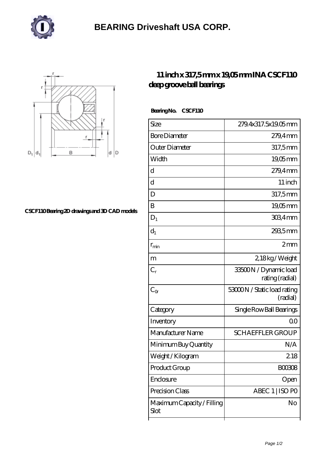



## **[CSCF110 Bearing 2D drawings and 3D CAD models](https://henschel-at.com/pic-354175.html)**

## **[11 inch x 317,5 mm x 19,05 mm INA CSCF110](https://henschel-at.com/ina-cscf110-bearing/) [deep groove ball bearings](https://henschel-at.com/ina-cscf110-bearing/)**

Bearing No. CSCF110

| Size                               | 279.4x317.5x19.05mm                      |
|------------------------------------|------------------------------------------|
| <b>Bore Diameter</b>               | 279,4mm                                  |
| Outer Diameter                     | 317,5mm                                  |
|                                    |                                          |
| Width                              | $19,05$ mm                               |
| d                                  | $279.4$ mm                               |
| d                                  | 11 inch                                  |
| D                                  | 317,5mm                                  |
| B                                  | 19,05mm                                  |
| $D_1$                              | $3034$ mm                                |
| $d_1$                              | 2935mm                                   |
| $r_{\rm min}$                      | 2mm                                      |
| m                                  | 2,18kg/Weight                            |
| $C_r$                              | 33500N / Dynamic load<br>rating (radial) |
| $C_{\alpha}$                       | 53000N / Static load rating<br>(radial)  |
| Category                           | Single Row Ball Bearings                 |
| Inventory                          | 0 <sub>0</sub>                           |
| Manufacturer Name                  | <b>SCHAEFFLER GROUP</b>                  |
| Minimum Buy Quantity               | N/A                                      |
| Weight/Kilogram                    | 218                                      |
| Product Group                      | BOO3O8                                   |
| Enclosure                          | Open                                     |
| Precision Class                    | ABEC 1   ISO PO                          |
| Maximum Capacity / Filling<br>Slot | No                                       |
|                                    |                                          |